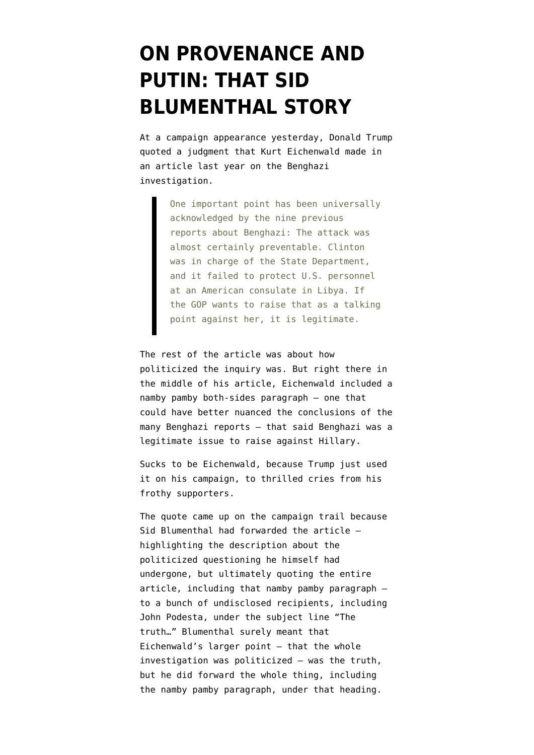## **[ON PROVENANCE AND](https://www.emptywheel.net/2016/10/11/provenance-putin-sid-blumenthal-story/) [PUTIN: THAT SID](https://www.emptywheel.net/2016/10/11/provenance-putin-sid-blumenthal-story/) [BLUMENTHAL STORY](https://www.emptywheel.net/2016/10/11/provenance-putin-sid-blumenthal-story/)**

At a campaign appearance yesterday, Donald Trump quoted a judgment that Kurt Eichenwald made [in](http://www.newsweek.com/benghazi-biopsy-comprehensive-guide-one-americas-worst-political-outrages-385853#) [an article](http://www.newsweek.com/benghazi-biopsy-comprehensive-guide-one-americas-worst-political-outrages-385853#) last year on the Benghazi investigation.

> One important point has been universally acknowledged by the nine previous reports about Benghazi: The attack was almost certainly preventable. Clinton was in charge of the State Department, and it failed to protect U.S. personnel at an American consulate in Libya. If the GOP wants to raise that as a talking point against her, it is legitimate.

The rest of the article was about how politicized the inquiry was. But right there in the middle of his article, Eichenwald included a namby pamby both-sides paragraph — one that could have better nuanced the conclusions of the many Benghazi reports — that said Benghazi was a legitimate issue to raise against Hillary.

Sucks to be Eichenwald, because Trump just used it on his campaign, to thrilled cries from his frothy supporters.

The quote came up on the campaign trail because Sid Blumenthal had [forwarded](https://wikileaks.org/podesta-emails/emailid/2038) the article highlighting the description about the politicized questioning he himself had undergone, but ultimately quoting the entire article, including that namby pamby paragraph to a bunch of undisclosed recipients, including John Podesta, under the subject line "The truth…" Blumenthal surely meant that Eichenwald's larger point — that the whole investigation was politicized — was the truth, but he did forward the whole thing, including the namby pamby paragraph, under that heading.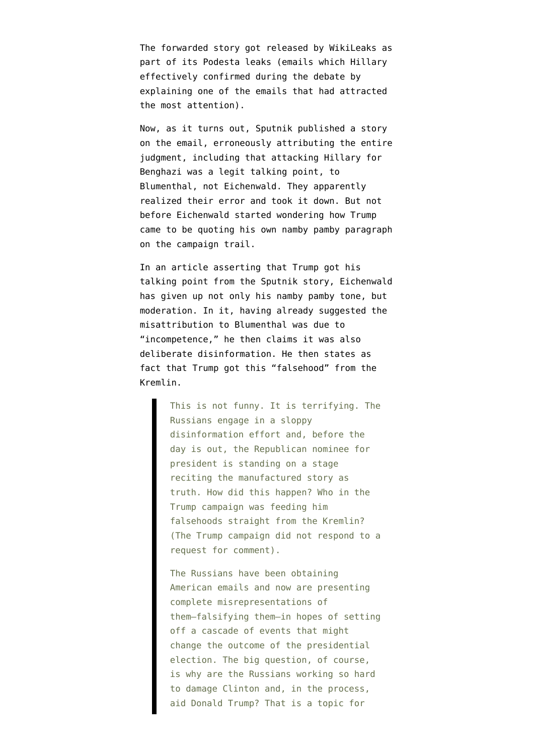The forwarded story got released by WikiLeaks as part of its Podesta leaks (emails which Hillary effectively confirmed during the debate by explaining one of the emails that had attracted the most attention).

Now, as it turns out, Sputnik [published a story](https://webcache.googleusercontent.com/search?q=cache:F6xU57lYXkAJ:https://sputniknews.com/world/201610101046200602-hillary-benghazi-wikileaks-podesta-emails/+&cd=2&hl=en&ct=clnk&gl=us) [on the email](https://webcache.googleusercontent.com/search?q=cache:F6xU57lYXkAJ:https://sputniknews.com/world/201610101046200602-hillary-benghazi-wikileaks-podesta-emails/+&cd=2&hl=en&ct=clnk&gl=us), erroneously attributing the entire judgment, including that attacking Hillary for Benghazi was a legit talking point, to Blumenthal, not Eichenwald. They apparently realized their error and took it down. But not before Eichenwald started wondering how Trump came to be quoting his own namby pamby paragraph on the campaign trail.

In [an article](http://www.newsweek.com/vladimir-putin-sidney-blumenthal-hillary-clinton-donald-trump-benghazi-sputnik-508635) asserting that Trump got his talking point from the Sputnik story, Eichenwald has given up not only his namby pamby tone, but moderation. In it, having already suggested the misattribution to Blumenthal was due to "incompetence," he then claims it was also deliberate disinformation. He then states as fact that Trump got this "falsehood" from the Kremlin.

> This is not funny. It is terrifying. The Russians engage in a sloppy disinformation effort and, before the day is out, the Republican nominee for president is standing on a stage reciting the manufactured story as truth. How did this happen? Who in the Trump campaign was feeding him falsehoods straight from the Kremlin? (The Trump campaign did not respond to a request for comment).

The Russians have been obtaining American emails and now are presenting complete misrepresentations of them—falsifying them—in hopes of setting off a cascade of events that might change the outcome of the presidential election. The big question, of course, is why are the Russians working so hard to damage Clinton and, in the process, aid Donald Trump? That is a topic for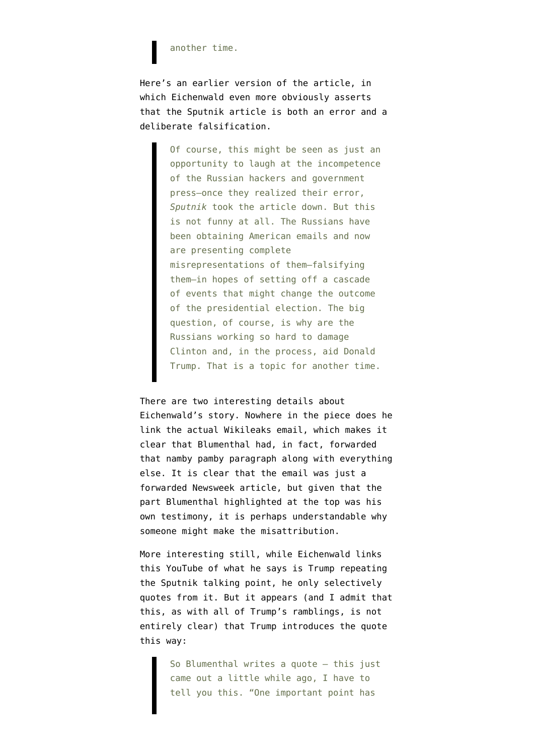## another time.

Here's an earlier version of the article, in which Eichenwald even more obviously asserts that the Sputnik article is both an error and a deliberate falsification.

> Of course, this might be seen as just an opportunity to laugh at the incompetence of the Russian hackers and government press—once they realized their error, *Sputnik* took the article down. But this is not funny at all. The Russians have been obtaining American emails and now are presenting complete misrepresentations of them—falsifying them—in hopes of setting off a cascade of events that might change the outcome of the presidential election. The big question, of course, is why are the Russians working so hard to damage Clinton and, in the process, aid Donald Trump. That is a topic for another time.

## There are two interesting details about

Eichenwald's story. Nowhere in the piece does he link the actual Wikileaks email, which makes it clear that Blumenthal had, in fact, forwarded that namby pamby paragraph along with everything else. It is clear that the email was just a forwarded Newsweek article, but given that the part Blumenthal highlighted at the top was his own testimony, it is perhaps understandable why someone might make the misattribution.

More interesting still, while Eichenwald links this [YouTube](https://www.youtube.com/watch?v=Y86z3k5s8XY&feature=youtu.be) of what he says is Trump repeating the Sputnik talking point, he only selectively quotes from it. But it appears (and I admit that this, as with all of Trump's ramblings, is not entirely clear) that Trump introduces the quote this way:

> So Blumenthal writes a quote — this just came out a little while ago, I have to tell you this. "One important point has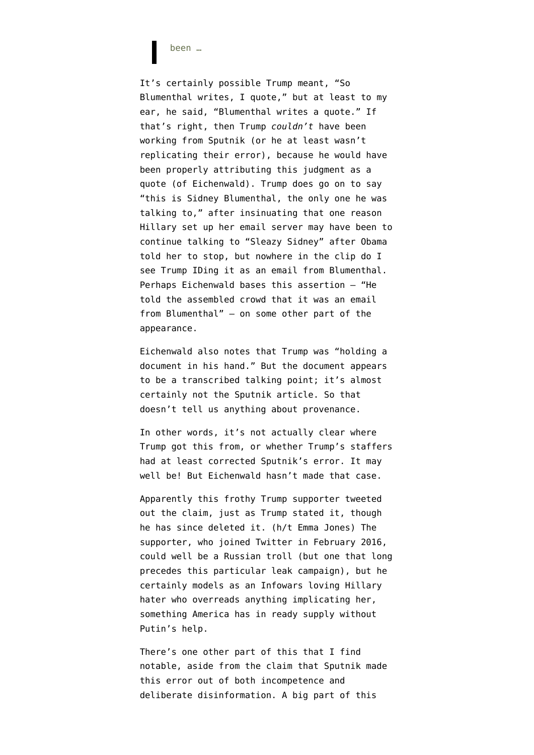been …

It's certainly possible Trump meant, "So Blumenthal writes, I quote," but at least to my ear, he said, "Blumenthal writes a quote." If that's right, then Trump *couldn't* have been working from Sputnik (or he at least wasn't replicating their error), because he would have been properly attributing this judgment as a quote (of Eichenwald). Trump does go on to say "this is Sidney Blumenthal, the only one he was talking to," after insinuating that one reason Hillary set up her email server may have been to continue talking to "Sleazy Sidney" after Obama told her to stop, but nowhere in the clip do I see Trump IDing it as an email from Blumenthal. Perhaps Eichenwald bases this assertion — "He told the assembled crowd that it was an email from Blumenthal" — on some other part of the appearance.

Eichenwald also notes that Trump was "holding a document in his hand." But the document appears to be a transcribed talking point; it's almost certainly not the Sputnik article. So that doesn't tell us anything about provenance.

In other words, it's not actually clear where Trump got this from, or whether Trump's staffers had at least corrected Sputnik's error. It may well be! But Eichenwald hasn't made that case.

Apparently [this frothy Trump supporter](https://twitter.com/republic2016) [tweeted](https://twitter.com/emmajaniejones/status/785816450233536512) [out the claim](https://twitter.com/emmajaniejones/status/785816450233536512), just as Trump stated it, though he has since deleted it. (h/t [Emma Jones\)](https://twitter.com/emmajaniejones/status/785816450233536512) The supporter, who joined Twitter in February 2016, could well be a Russian troll (but one that long precedes this particular leak campaign), but he certainly models as an Infowars loving Hillary hater who overreads anything implicating her, something America has in ready supply without Putin's help.

There's one other part of this that I find notable, aside from the claim that Sputnik made this error out of both incompetence and deliberate disinformation. A big part of this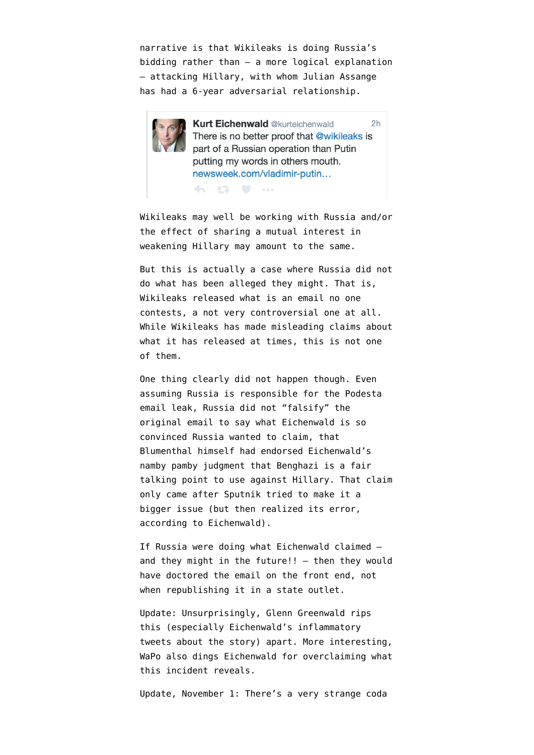narrative is that Wikileaks is doing Russia's bidding rather than — a more logical explanation — attacking Hillary, with whom Julian Assange has had a 6-year adversarial relationship.



**Kurt Eichenwald @kurteichenwald**  $2<sub>h</sub>$ There is no better proof that @wikileaks is part of a Russian operation than Putin putting my words in others mouth. newsweek.com/vladimir-putin...

Wikileaks may well be working with Russia and/or the effect of sharing a mutual interest in

weakening Hillary may amount to the same.

← 13 ♥ …

But this is actually a case where Russia did not do what has been alleged they might. That is, Wikileaks released what is an email no one contests, a not very controversial one at all. While Wikileaks has made misleading claims about what it has released at times, this is not one of them.

One thing clearly did not happen though. Even assuming Russia is responsible for the Podesta email leak, Russia did not "falsify" the original email to say what Eichenwald is so convinced Russia wanted to claim, that Blumenthal himself had endorsed Eichenwald's namby pamby judgment that Benghazi is a fair talking point to use against Hillary. That claim only came after Sputnik tried to make it a bigger issue (but then realized its error, according to Eichenwald).

If Russia were doing what Eichenwald claimed and they might in the future!!  $-$  then they would have doctored the email on the front end, not when republishing it in a state outlet.

Update: Unsurprisingly, Glenn Greenwald [rips](https://theintercept.com/2016/10/11/in-the-democratic-echo-chamber-inconvenient-truths-are-recast-as-putin-plots/) [this](https://theintercept.com/2016/10/11/in-the-democratic-echo-chamber-inconvenient-truths-are-recast-as-putin-plots/) (especially Eichenwald's inflammatory tweets about the story) apart. More interesting, WaPo also [dings](https://www.washingtonpost.com/news/the-fix/wp/2016/10/11/the-trump-putin-link-that-wasnt/) Eichenwald for overclaiming what this incident reveals.

Update, November 1: There's a very strange coda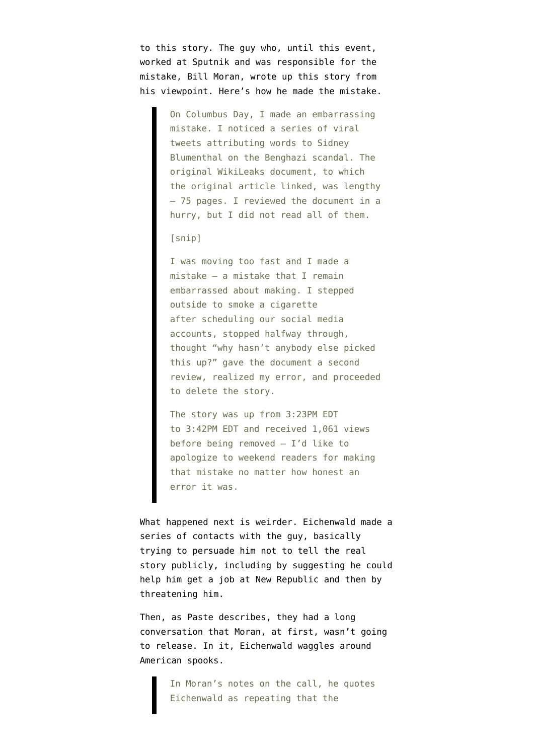to this story. The guy who, until this event, worked at Sputnik and was responsible for the mistake, Bill Moran, [wrote up this story](https://sputniknews.com/analysis/201610171046431086-Newsweek-Eichenwald-Moran-Putin-Trump/) from his viewpoint. Here's how he made the mistake.

> On Columbus Day, I made an embarrassing mistake. I noticed a series of viral tweets attributing words to Sidney Blumenthal on the Benghazi scandal. The original WikiLeaks document, to which the original article linked, was lengthy – 75 pages. I reviewed the document in a hurry, but I did not read all of them.

[snip]

I was moving too fast and I made a mistake – a mistake that I remain embarrassed about making. I stepped outside to smoke a cigarette after scheduling our social media accounts, stopped halfway through, thought "why hasn't anybody else picked this up?" gave the document a second review, realized my error, and proceeded to delete the story.

The story was up from 3:23PM EDT to 3:42PM EDT and received 1,061 views before being removed – I'd like to apologize to weekend readers for making that mistake no matter how honest an error it was.

What happened next is weirder. Eichenwald made a series of contacts with the guy, basically trying to persuade him not to tell the real story publicly, including by suggesting he could help him get a job at New Republic and then by threatening him.

Then, as Paste [describes,](https://www.pastemagazine.com/articles/2016/10/did-newsweeks-kurt-eichenwald-use-threats-and-brib.html) they had a long conversation that Moran, at first, wasn't going to release. In it, Eichenwald waggles around American spooks.

> In Moran's notes on the call, he quotes Eichenwald as repeating that the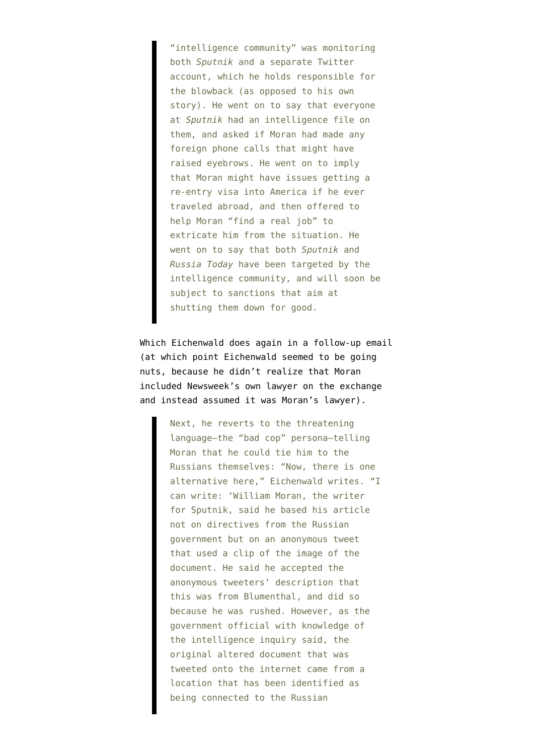"intelligence community" was monitoring both *Sputnik* and a separate Twitter account, which he holds responsible for the blowback (as opposed to his own story). He went on to say that everyone at *Sputnik* had an intelligence file on them, and asked if Moran had made any foreign phone calls that might have raised eyebrows. He went on to imply that Moran might have issues getting a re-entry visa into America if he ever traveled abroad, and then offered to help Moran "find a real job" to extricate him from the situation. He went on to say that both *Sputnik* and *Russia Today* have been targeted by the intelligence community, and will soon be subject to sanctions that aim at shutting them down for good.

Which Eichenwald does again in a follow-up email (at which point Eichenwald seemed to be going nuts, because he didn't realize that Moran included Newsweek's own lawyer on the exchange and instead assumed it was Moran's lawyer).

> Next, he reverts to the threatening language—the "bad cop" persona—telling Moran that he could tie him to the Russians themselves: "Now, there is one alternative here," Eichenwald writes. "I can write: 'William Moran, the writer for Sputnik, said he based his article not on directives from the Russian government but on an anonymous tweet that used a clip of the image of the document. He said he accepted the anonymous tweeters' description that this was from Blumenthal, and did so because he was rushed. However, as the government official with knowledge of the intelligence inquiry said, the original altered document that was tweeted onto the internet came from a location that has been identified as being connected to the Russian